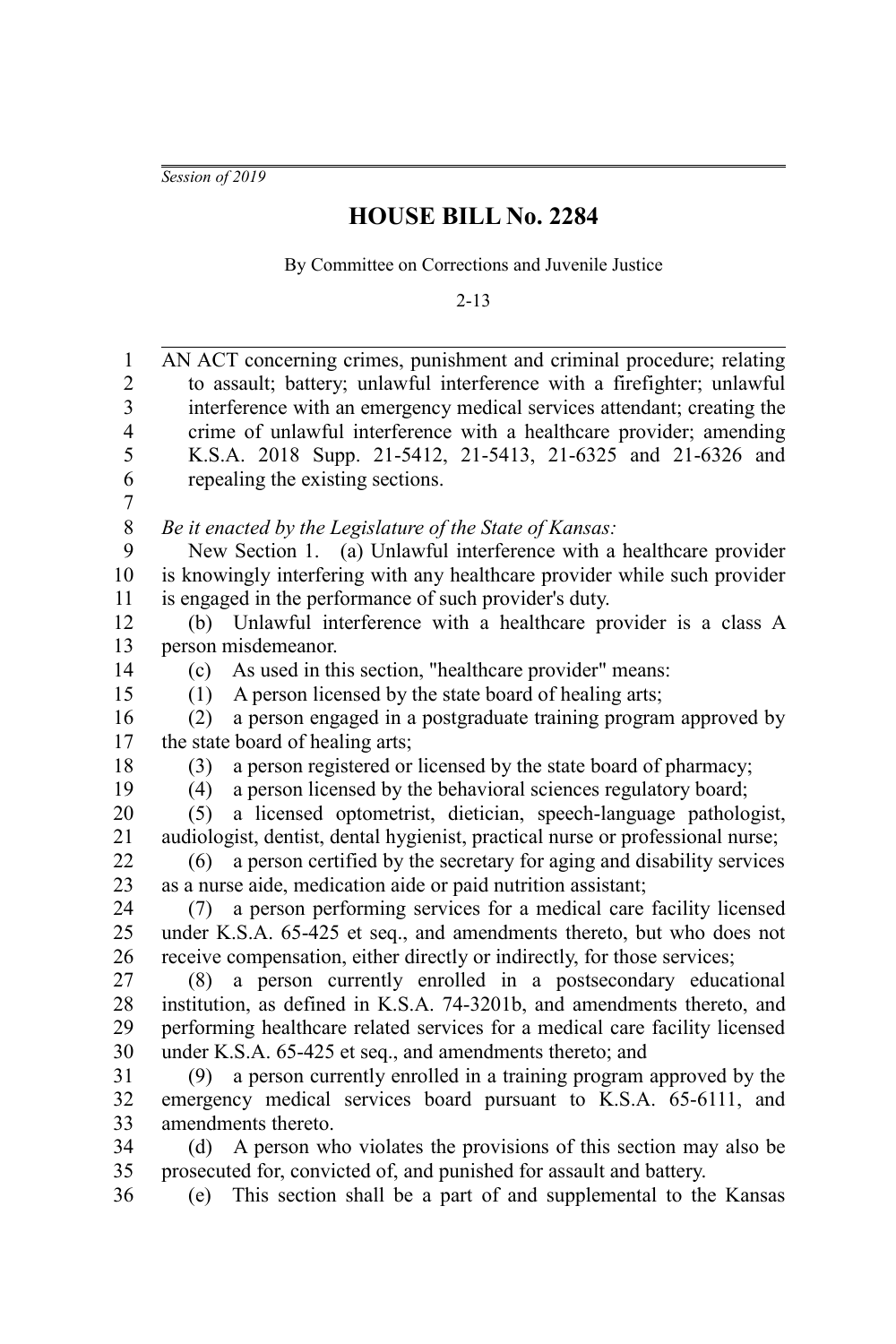*Session of 2019*

## **HOUSE BILL No. 2284**

By Committee on Corrections and Juvenile Justice

2-13

| $\mathbf{1}$            | AN ACT concerning crimes, punishment and criminal procedure; relating          |
|-------------------------|--------------------------------------------------------------------------------|
| $\boldsymbol{2}$        | to assault; battery; unlawful interference with a firefighter; unlawful        |
| 3                       | interference with an emergency medical services attendant; creating the        |
| $\overline{\mathbf{4}}$ | crime of unlawful interference with a healthcare provider; amending            |
| 5                       | K.S.A. 2018 Supp. 21-5412, 21-5413, 21-6325 and 21-6326 and                    |
| 6                       | repealing the existing sections.                                               |
| 7                       |                                                                                |
| $\,$ $\,$               | Be it enacted by the Legislature of the State of Kansas:                       |
| 9                       | New Section 1. (a) Unlawful interference with a healthcare provider            |
| 10                      | is knowingly interfering with any healthcare provider while such provider      |
| 11                      | is engaged in the performance of such provider's duty.                         |
| 12                      | Unlawful interference with a healthcare provider is a class A<br>(b)           |
| 13                      | person misdemeanor.                                                            |
| 14                      | As used in this section, "healthcare provider" means:<br>(c)                   |
| 15                      | A person licensed by the state board of healing arts;<br>(1)                   |
| 16                      | a person engaged in a postgraduate training program approved by<br>(2)         |
| 17                      | the state board of healing arts;                                               |
| 18                      | a person registered or licensed by the state board of pharmacy;<br>(3)         |
| 19                      | a person licensed by the behavioral sciences regulatory board;<br>(4)          |
| 20                      | a licensed optometrist, dietician, speech-language pathologist,<br>(5)         |
| 21                      | audiologist, dentist, dental hygienist, practical nurse or professional nurse; |
| 22                      | a person certified by the secretary for aging and disability services<br>(6)   |
| 23                      | as a nurse aide, medication aide or paid nutrition assistant;                  |
| 24                      | a person performing services for a medical care facility licensed<br>(7)       |
| 25                      | under K.S.A. 65-425 et seq., and amendments thereto, but who does not          |
| 26                      | receive compensation, either directly or indirectly, for those services;       |
| 27                      | (8) a person currently enrolled in a postsecondary educational                 |
| 28                      | institution, as defined in K.S.A. 74-3201b, and amendments thereto, and        |
| 29                      | performing healthcare related services for a medical care facility licensed    |
| 30                      | under K.S.A. 65-425 et seq., and amendments thereto; and                       |
| 31                      | a person currently enrolled in a training program approved by the<br>(9)       |
| 32                      | emergency medical services board pursuant to K.S.A. 65-6111, and               |
| 33                      | amendments thereto.                                                            |
| 34                      | A person who violates the provisions of this section may also be<br>(d)        |
| 35                      | prosecuted for, convicted of, and punished for assault and battery.            |
| 36                      | This section shall be a part of and supplemental to the Kansas<br>(e)          |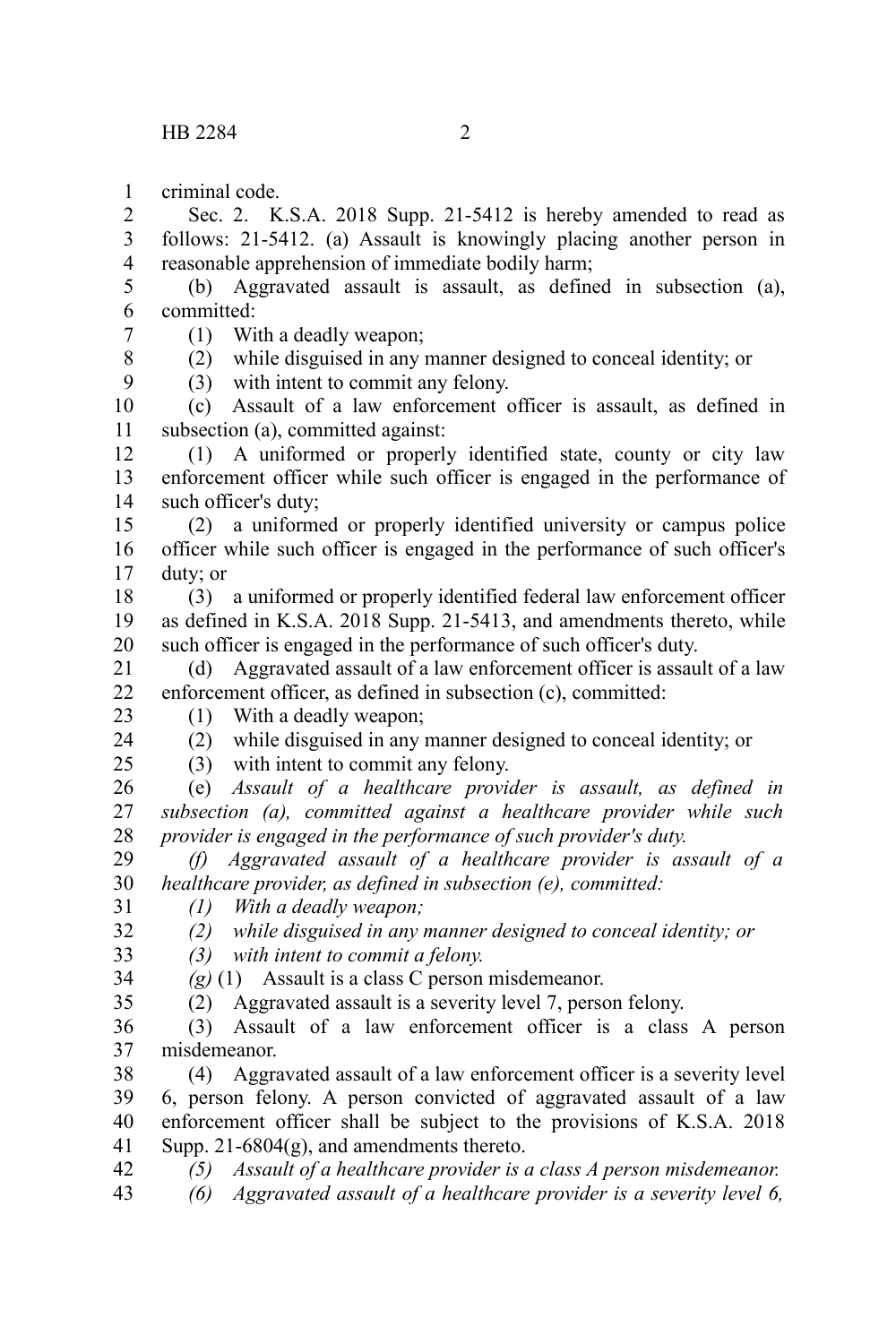criminal code. 1

Sec. 2. K.S.A. 2018 Supp. 21-5412 is hereby amended to read as follows: 21-5412. (a) Assault is knowingly placing another person in reasonable apprehension of immediate bodily harm; 2 3 4

(b) Aggravated assault is assault, as defined in subsection (a), committed: 5 6

(1) With a deadly weapon; 7

- (2) while disguised in any manner designed to conceal identity; or
- (3) with intent to commit any felony.

(c) Assault of a law enforcement officer is assault, as defined in subsection (a), committed against: 10 11

(1) A uniformed or properly identified state, county or city law enforcement officer while such officer is engaged in the performance of such officer's duty; 12 13 14

(2) a uniformed or properly identified university or campus police officer while such officer is engaged in the performance of such officer's duty; or 15 16 17

(3) a uniformed or properly identified federal law enforcement officer as defined in K.S.A. 2018 Supp. 21-5413, and amendments thereto, while such officer is engaged in the performance of such officer's duty. 18 19 20

(d) Aggravated assault of a law enforcement officer is assault of a law enforcement officer, as defined in subsection (c), committed: 21 22

23 24

 $25$ 

8 9

- (1) With a deadly weapon; (2) while disguised in any manner designed to conceal identity; or
- (3) with intent to commit any felony.
- (e) *Assault of a healthcare provider is assault, as defined in subsection (a), committed against a healthcare provider while such provider is engaged in the performance of such provider's duty.* 26 27 28

*(f) Aggravated assault of a healthcare provider is assault of a healthcare provider, as defined in subsection (e), committed:* 29 30

- *(1) With a deadly weapon;* 31
- *(2) while disguised in any manner designed to conceal identity; or* 32
- *(3) with intent to commit a felony.* 33

*(g)* (1) Assault is a class C person misdemeanor. 34

35

(2) Aggravated assault is a severity level 7, person felony.

(3) Assault of a law enforcement officer is a class A person misdemeanor. 36 37

(4) Aggravated assault of a law enforcement officer is a severity level 6, person felony. A person convicted of aggravated assault of a law enforcement officer shall be subject to the provisions of K.S.A. 2018 Supp. 21-6804(g), and amendments thereto. 38 39 40 41

*(5) Assault of a healthcare provider is a class A person misdemeanor.* 42

*(6) Aggravated assault of a healthcare provider is a severity level 6,* 43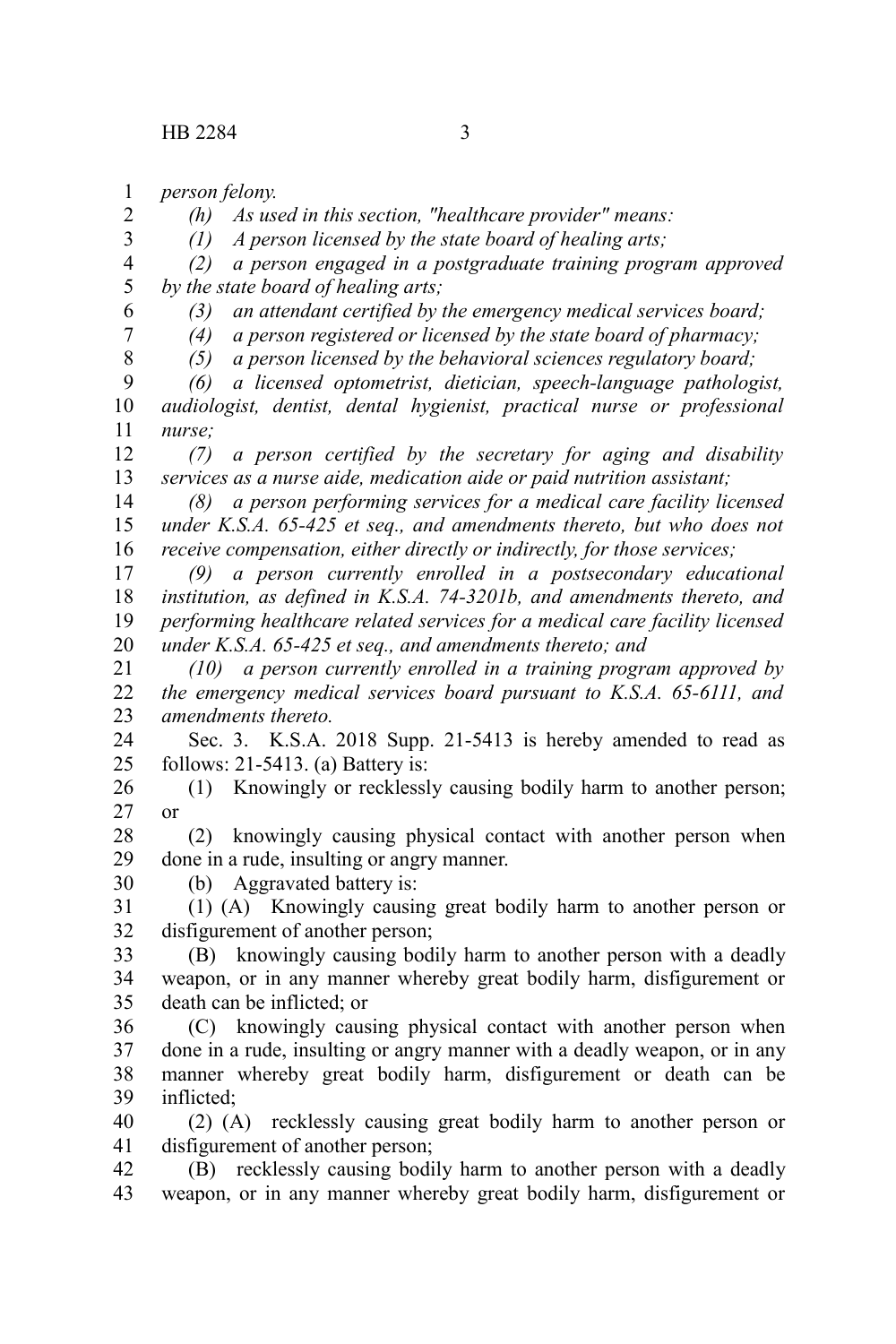*person felony.* 1

*(h) As used in this section, "healthcare provider" means:*

*(1) A person licensed by the state board of healing arts;*

*(2) a person engaged in a postgraduate training program approved by the state board of healing arts;* 4 5

*(3) an attendant certified by the emergency medical services board;*

6 7 8

2 3

*(4) a person registered or licensed by the state board of pharmacy;*

*(5) a person licensed by the behavioral sciences regulatory board;*

*(6) a licensed optometrist, dietician, speech-language pathologist, audiologist, dentist, dental hygienist, practical nurse or professional nurse;* 9 10 11

*(7) a person certified by the secretary for aging and disability services as a nurse aide, medication aide or paid nutrition assistant;* 12 13

*(8) a person performing services for a medical care facility licensed under K.S.A. 65-425 et seq., and amendments thereto, but who does not receive compensation, either directly or indirectly, for those services;* 14 15 16

*(9) a person currently enrolled in a postsecondary educational institution, as defined in K.S.A. 74-3201b, and amendments thereto, and performing healthcare related services for a medical care facility licensed under K.S.A. 65-425 et seq., and amendments thereto; and* 17 18 19 20

*(10) a person currently enrolled in a training program approved by the emergency medical services board pursuant to K.S.A. 65-6111, and amendments thereto.* 21 22 23

Sec. 3. K.S.A. 2018 Supp. 21-5413 is hereby amended to read as follows: 21-5413. (a) Battery is: 24 25

(1) Knowingly or recklessly causing bodily harm to another person; or 26 27

(2) knowingly causing physical contact with another person when done in a rude, insulting or angry manner. 28 29

(b) Aggravated battery is: 30

(1) (A) Knowingly causing great bodily harm to another person or disfigurement of another person; 31 32

(B) knowingly causing bodily harm to another person with a deadly weapon, or in any manner whereby great bodily harm, disfigurement or death can be inflicted; or 33 34 35

(C) knowingly causing physical contact with another person when done in a rude, insulting or angry manner with a deadly weapon, or in any manner whereby great bodily harm, disfigurement or death can be inflicted; 36 37 38 39

(2) (A) recklessly causing great bodily harm to another person or disfigurement of another person; 40 41

(B) recklessly causing bodily harm to another person with a deadly weapon, or in any manner whereby great bodily harm, disfigurement or 42 43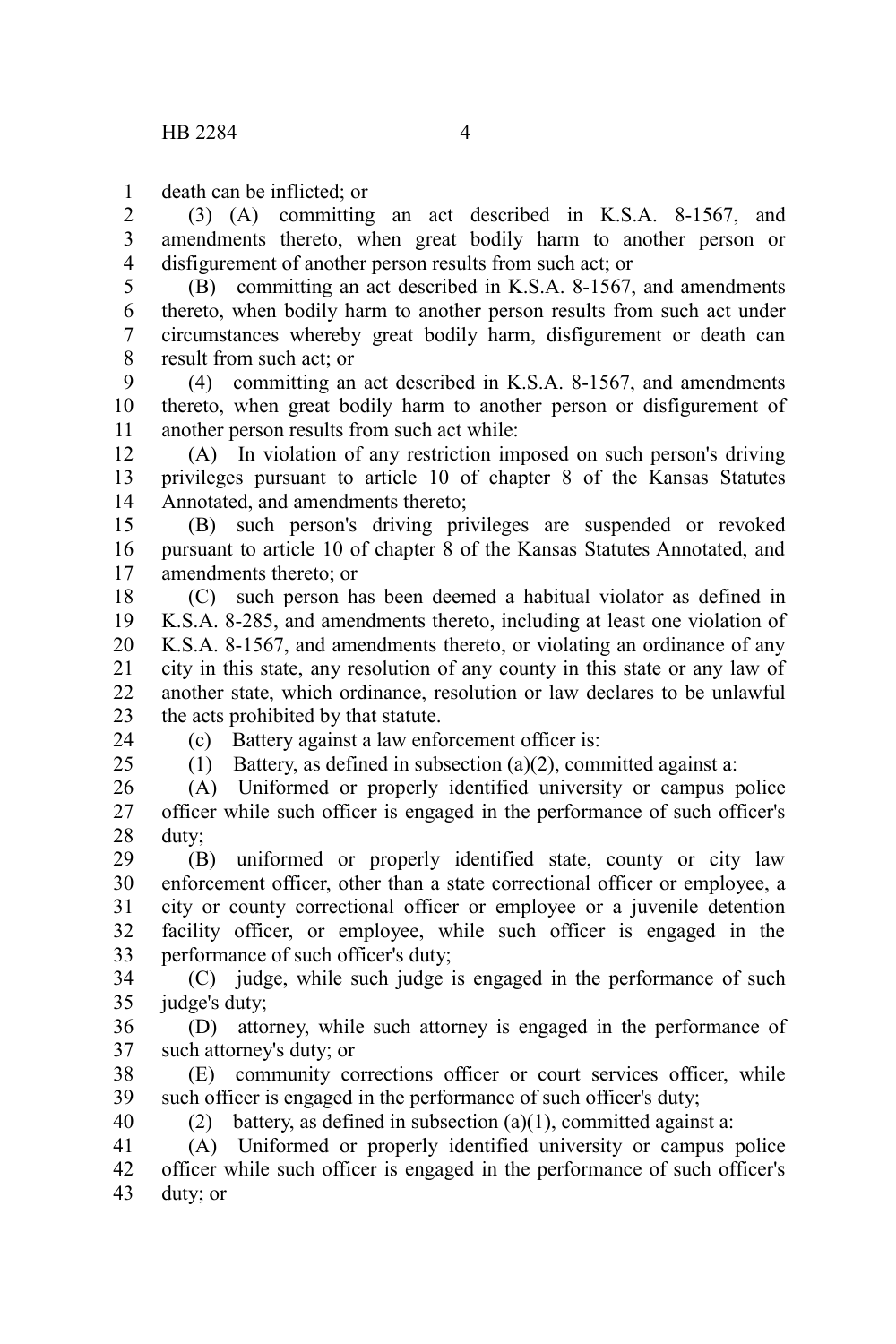death can be inflicted; or 1

(3) (A) committing an act described in K.S.A. 8-1567, and amendments thereto, when great bodily harm to another person or disfigurement of another person results from such act; or 2 3 4

(B) committing an act described in K.S.A. 8-1567, and amendments thereto, when bodily harm to another person results from such act under circumstances whereby great bodily harm, disfigurement or death can result from such act; or 5 6 7 8

(4) committing an act described in K.S.A. 8-1567, and amendments thereto, when great bodily harm to another person or disfigurement of another person results from such act while: 9 10 11

(A) In violation of any restriction imposed on such person's driving privileges pursuant to article 10 of chapter 8 of the Kansas Statutes Annotated, and amendments thereto; 12 13 14

(B) such person's driving privileges are suspended or revoked pursuant to article 10 of chapter 8 of the Kansas Statutes Annotated, and amendments thereto; or 15 16 17

(C) such person has been deemed a habitual violator as defined in K.S.A. 8-285, and amendments thereto, including at least one violation of K.S.A. 8-1567, and amendments thereto, or violating an ordinance of any city in this state, any resolution of any county in this state or any law of another state, which ordinance, resolution or law declares to be unlawful the acts prohibited by that statute. 18 19 20 21 22 23

(c) Battery against a law enforcement officer is:

24  $25$ 

(1) Battery, as defined in subsection (a)(2), committed against a:

(A) Uniformed or properly identified university or campus police officer while such officer is engaged in the performance of such officer's duty; 26 27 28

(B) uniformed or properly identified state, county or city law enforcement officer, other than a state correctional officer or employee, a city or county correctional officer or employee or a juvenile detention facility officer, or employee, while such officer is engaged in the performance of such officer's duty; 29 30 31 32 33

(C) judge, while such judge is engaged in the performance of such judge's duty; 34 35

(D) attorney, while such attorney is engaged in the performance of such attorney's duty; or 36 37

(E) community corrections officer or court services officer, while such officer is engaged in the performance of such officer's duty; 38 39

40

(2) battery, as defined in subsection (a)(1), committed against a:

(A) Uniformed or properly identified university or campus police officer while such officer is engaged in the performance of such officer's duty; or 41 42 43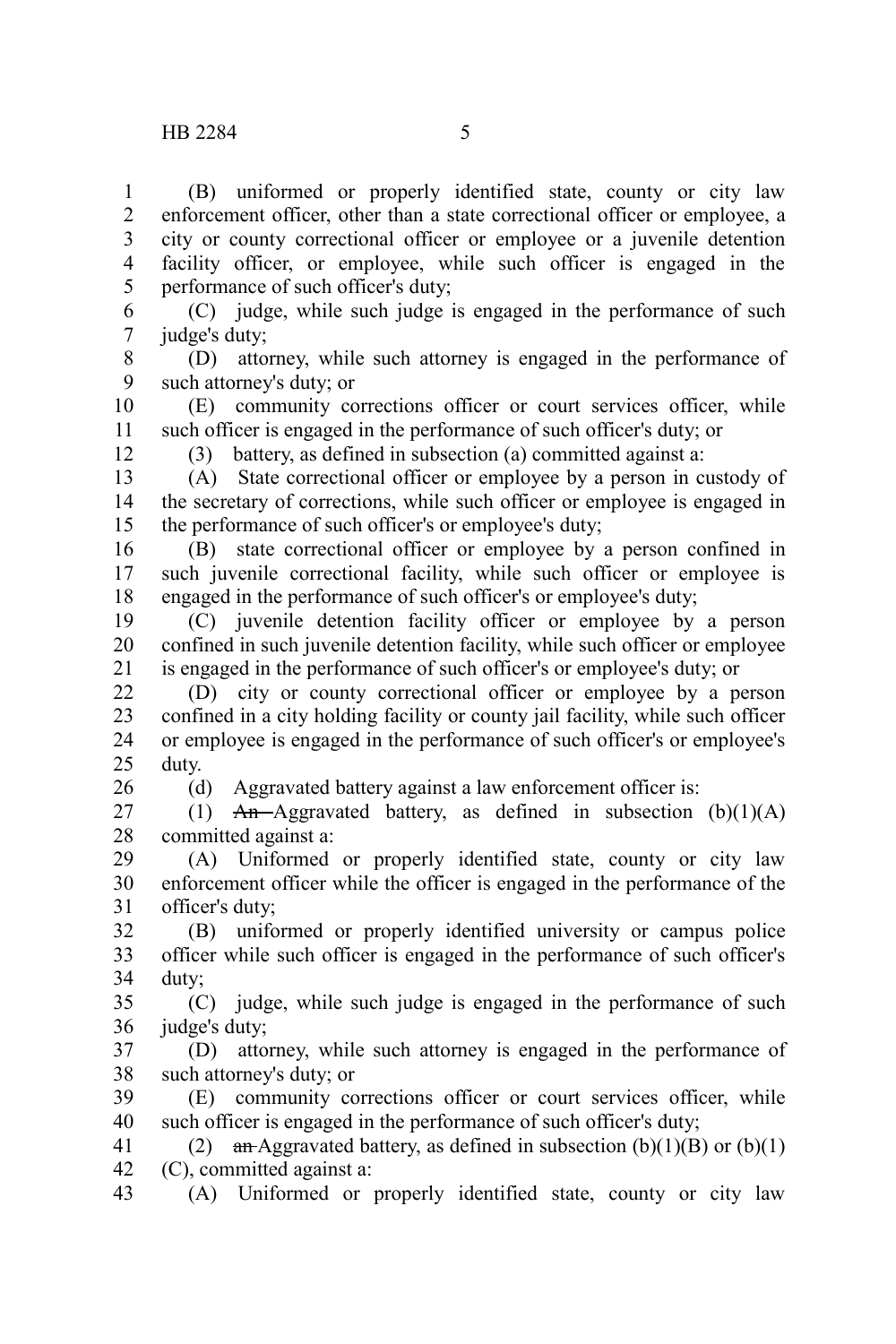(B) uniformed or properly identified state, county or city law enforcement officer, other than a state correctional officer or employee, a city or county correctional officer or employee or a juvenile detention facility officer, or employee, while such officer is engaged in the performance of such officer's duty; 1 2 3 4 5

(C) judge, while such judge is engaged in the performance of such judge's duty; 6 7

(D) attorney, while such attorney is engaged in the performance of such attorney's duty; or 8 9

(E) community corrections officer or court services officer, while such officer is engaged in the performance of such officer's duty; or 10 11

12

(3) battery, as defined in subsection (a) committed against a:

(A) State correctional officer or employee by a person in custody of the secretary of corrections, while such officer or employee is engaged in the performance of such officer's or employee's duty; 13 14 15

(B) state correctional officer or employee by a person confined in such juvenile correctional facility, while such officer or employee is engaged in the performance of such officer's or employee's duty; 16 17 18

(C) juvenile detention facility officer or employee by a person confined in such juvenile detention facility, while such officer or employee is engaged in the performance of such officer's or employee's duty; or 19 20 21

(D) city or county correctional officer or employee by a person confined in a city holding facility or county jail facility, while such officer or employee is engaged in the performance of such officer's or employee's duty. 22 23 24 25

26

(d) Aggravated battery against a law enforcement officer is:

(1)  $An$ -Aggravated battery, as defined in subsection (b)(1)(A) committed against a: 27 28

(A) Uniformed or properly identified state, county or city law enforcement officer while the officer is engaged in the performance of the officer's duty; 29 30 31

(B) uniformed or properly identified university or campus police officer while such officer is engaged in the performance of such officer's duty; 32 33 34

(C) judge, while such judge is engaged in the performance of such judge's duty; 35 36

(D) attorney, while such attorney is engaged in the performance of such attorney's duty; or 37 38

(E) community corrections officer or court services officer, while such officer is engaged in the performance of such officer's duty; 39 40

(2) an Aggravated battery, as defined in subsection  $(b)(1)(B)$  or  $(b)(1)$ (C), committed against a: 41 42

(A) Uniformed or properly identified state, county or city law 43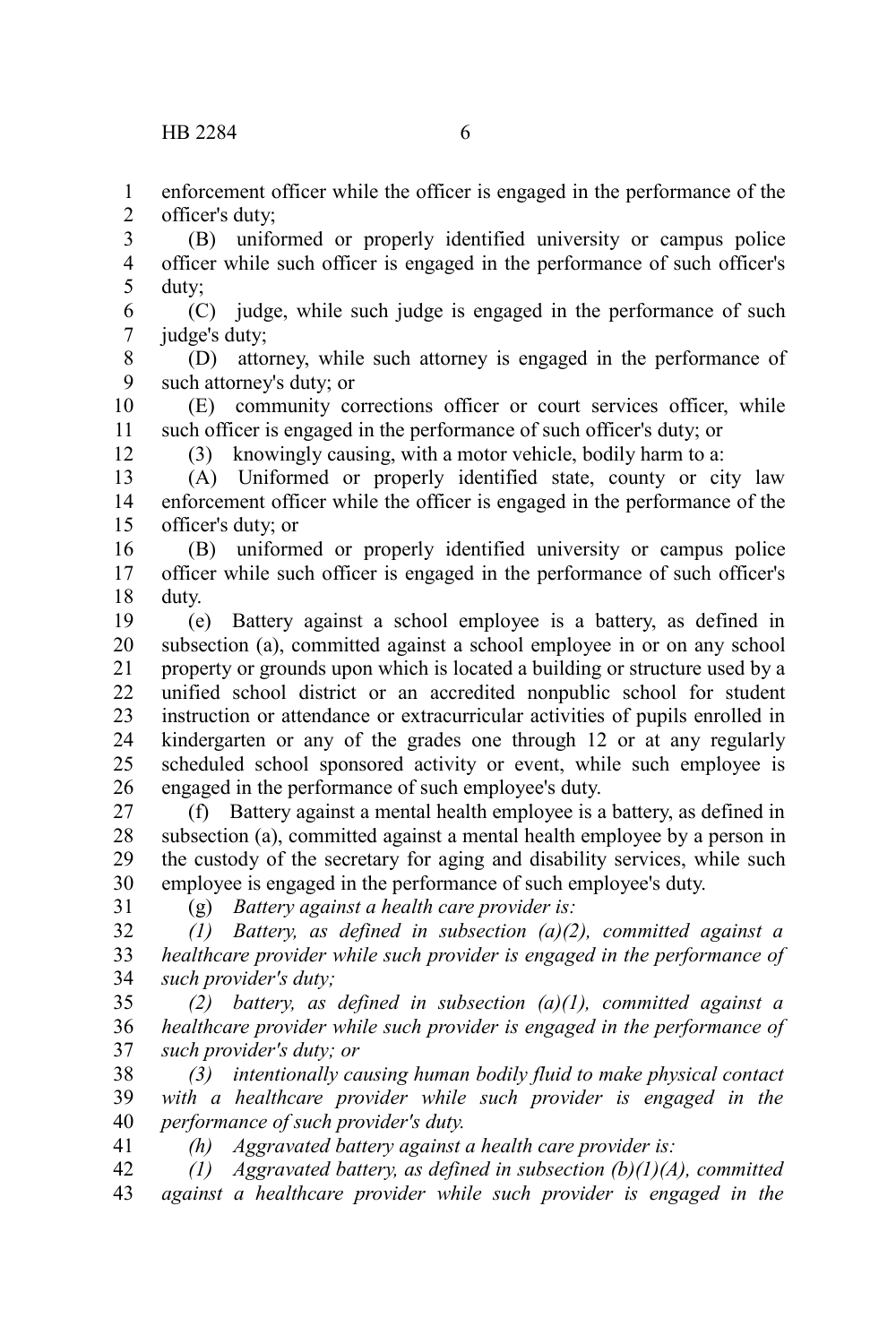enforcement officer while the officer is engaged in the performance of the officer's duty; 1 2

(B) uniformed or properly identified university or campus police officer while such officer is engaged in the performance of such officer's duty; 3 4 5

(C) judge, while such judge is engaged in the performance of such judge's duty; 6 7

(D) attorney, while such attorney is engaged in the performance of such attorney's duty; or 8 9

(E) community corrections officer or court services officer, while such officer is engaged in the performance of such officer's duty; or 10 11

12

(3) knowingly causing, with a motor vehicle, bodily harm to a:

(A) Uniformed or properly identified state, county or city law enforcement officer while the officer is engaged in the performance of the officer's duty; or 13 14 15

(B) uniformed or properly identified university or campus police officer while such officer is engaged in the performance of such officer's duty. 16 17 18

(e) Battery against a school employee is a battery, as defined in subsection (a), committed against a school employee in or on any school property or grounds upon which is located a building or structure used by a unified school district or an accredited nonpublic school for student instruction or attendance or extracurricular activities of pupils enrolled in kindergarten or any of the grades one through 12 or at any regularly scheduled school sponsored activity or event, while such employee is engaged in the performance of such employee's duty. 19 20 21 22 23 24 25 26

(f) Battery against a mental health employee is a battery, as defined in subsection (a), committed against a mental health employee by a person in the custody of the secretary for aging and disability services, while such employee is engaged in the performance of such employee's duty. 27 28 29 30

31

(g) *Battery against a health care provider is:*

*(1) Battery, as defined in subsection (a)(2), committed against a healthcare provider while such provider is engaged in the performance of such provider's duty;* 32 33 34

*(2) battery, as defined in subsection (a)(1), committed against a healthcare provider while such provider is engaged in the performance of such provider's duty; or* 35 36 37

*(3) intentionally causing human bodily fluid to make physical contact with a healthcare provider while such provider is engaged in the performance of such provider's duty.* 38 39 40 41

*(h) Aggravated battery against a health care provider is:*

*(1) Aggravated battery, as defined in subsection (b)(1)(A), committed against a healthcare provider while such provider is engaged in the* 42 43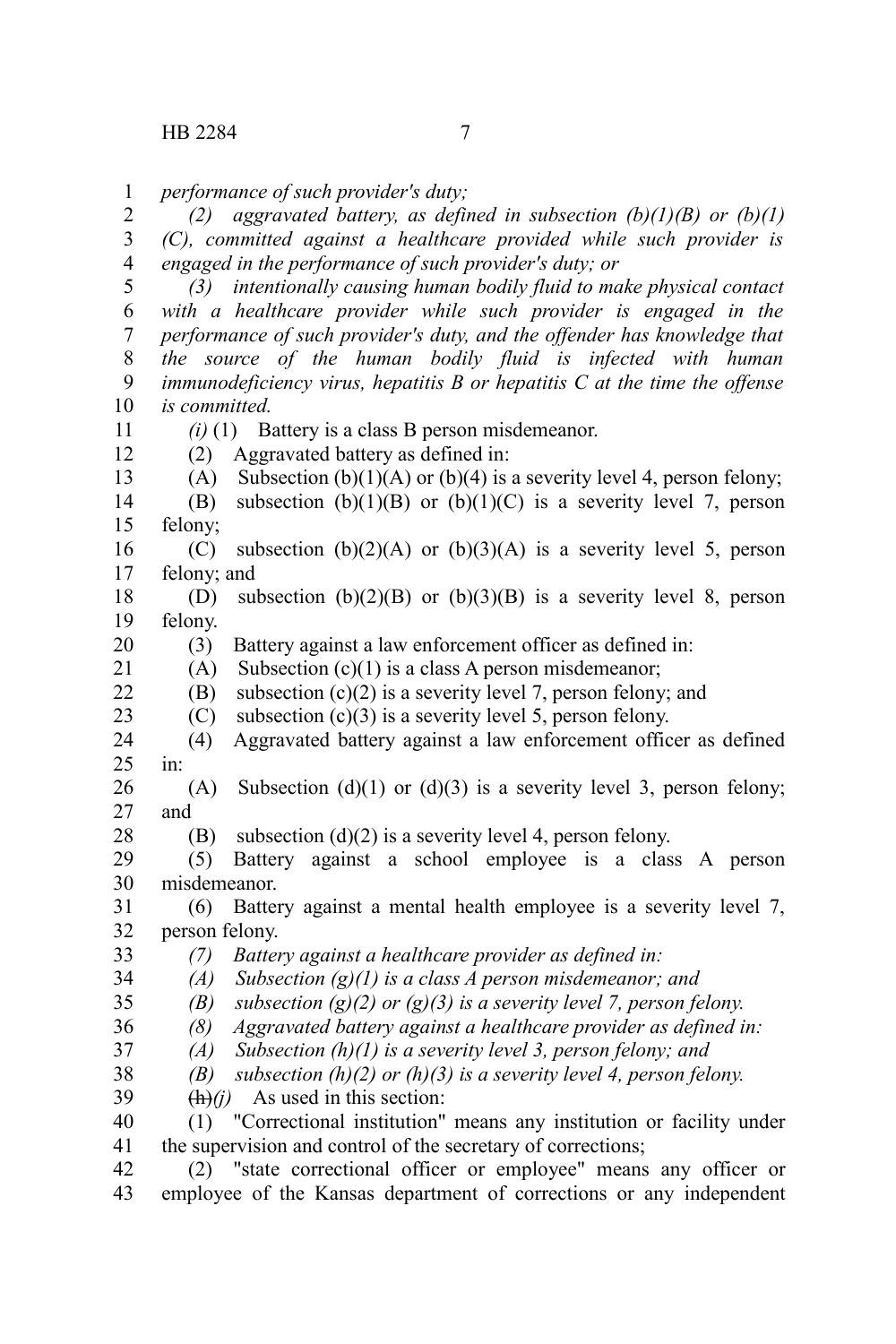*performance of such provider's duty;* 1

*(2) aggravated battery, as defined in subsection (b)(1)(B) or (b)(1) (C), committed against a healthcare provided while such provider is engaged in the performance of such provider's duty; or* 2 3 4

*(3) intentionally causing human bodily fluid to make physical contact with a healthcare provider while such provider is engaged in the performance of such provider's duty, and the offender has knowledge that the source of the human bodily fluid is infected with human immunodeficiency virus, hepatitis B or hepatitis C at the time the offense is committed.* 5 6 7 8 9 10

11 12

13

28

*(i)* (1) Battery is a class B person misdemeanor.

(2) Aggravated battery as defined in:

- (A) Subsection  $(b)(1)(A)$  or  $(b)(4)$  is a severity level 4, person felony;
- (B) subsection  $(b)(1)(B)$  or  $(b)(1)(C)$  is a severity level 7, person felony; 14 15
- (C) subsection  $(b)(2)(A)$  or  $(b)(3)(A)$  is a severity level 5, person felony; and 16 17
- (D) subsection  $(b)(2)(B)$  or  $(b)(3)(B)$  is a severity level 8, person felony. 18 19
- (3) Battery against a law enforcement officer as defined in: 20
- (A) Subsection  $(c)(1)$  is a class A person misdemeanor; 21
- (B) subsection  $(c)(2)$  is a severity level 7, person felony; and 22
- (C) subsection  $(c)(3)$  is a severity level 5, person felony. 23
- (4) Aggravated battery against a law enforcement officer as defined in: 24 25
- (A) Subsection (d)(1) or (d)(3) is a severity level 3, person felony; and 26 27
	- (B) subsection (d)(2) is a severity level 4, person felony.
- (5) Battery against a school employee is a class A person misdemeanor. 29 30
- (6) Battery against a mental health employee is a severity level 7, person felony. 31 32
- *(7) Battery against a healthcare provider as defined in:* 33
- *(A) Subsection (g)(1) is a class A person misdemeanor; and* 34
- *(B) subsection (g)(2) or (g)(3) is a severity level 7, person felony.* 35
- *(8) Aggravated battery against a healthcare provider as defined in:* 36
- *(A) Subsection (h)(1) is a severity level 3, person felony; and* 37
- *(B) subsection (h)(2) or (h)(3) is a severity level 4, person felony.* 38
- $(h)(i)$  As used in this section: 39
- (1) "Correctional institution" means any institution or facility under the supervision and control of the secretary of corrections; 40 41
- (2) "state correctional officer or employee" means any officer or employee of the Kansas department of corrections or any independent 42 43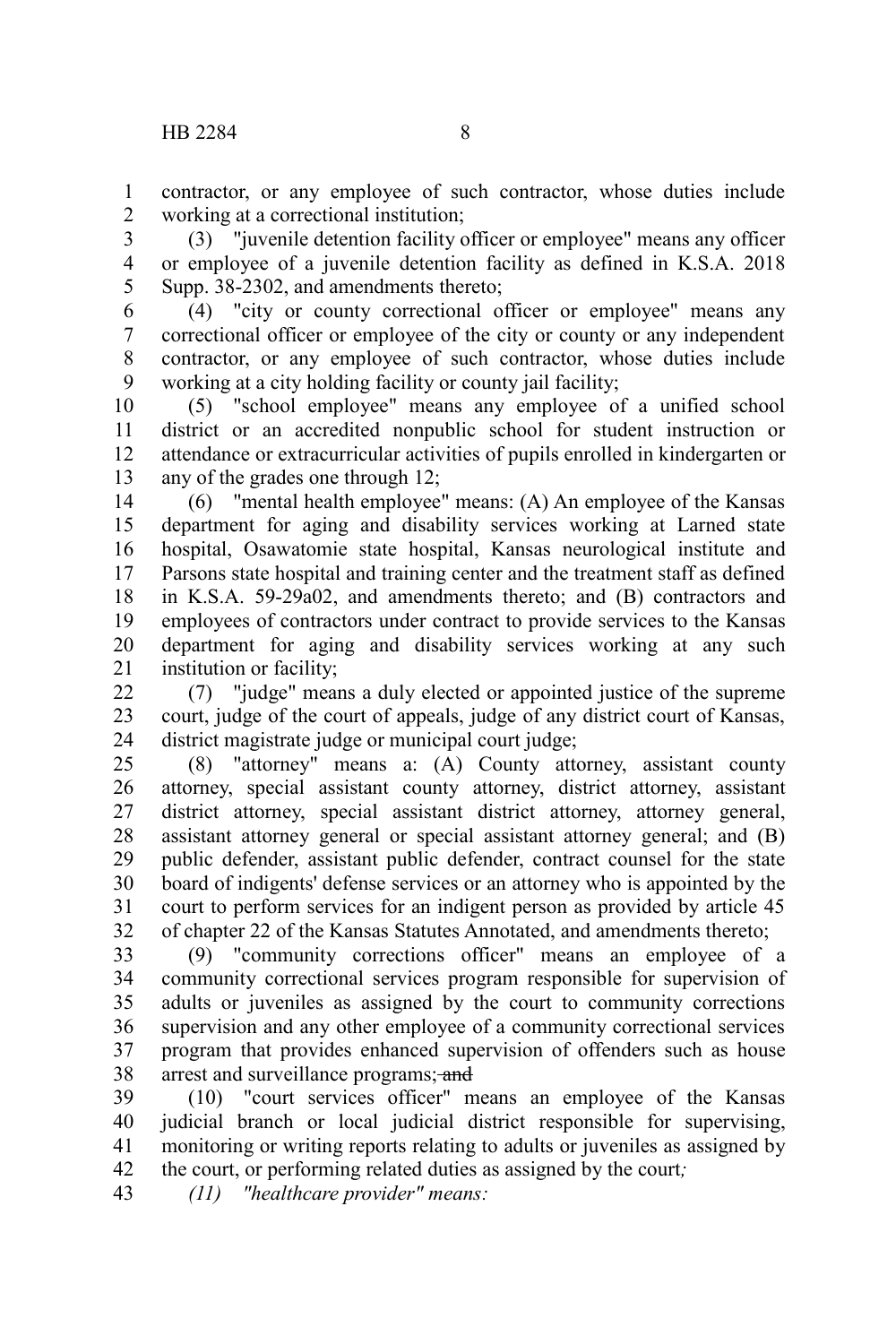contractor, or any employee of such contractor, whose duties include working at a correctional institution; 1 2

(3) "juvenile detention facility officer or employee" means any officer or employee of a juvenile detention facility as defined in K.S.A. 2018 Supp. 38-2302, and amendments thereto; 3 4 5

(4) "city or county correctional officer or employee" means any correctional officer or employee of the city or county or any independent contractor, or any employee of such contractor, whose duties include working at a city holding facility or county jail facility; 6 7 8 9

(5) "school employee" means any employee of a unified school district or an accredited nonpublic school for student instruction or attendance or extracurricular activities of pupils enrolled in kindergarten or any of the grades one through 12; 10 11 12 13

(6) "mental health employee" means: (A) An employee of the Kansas department for aging and disability services working at Larned state hospital, Osawatomie state hospital, Kansas neurological institute and Parsons state hospital and training center and the treatment staff as defined in K.S.A. 59-29a02, and amendments thereto; and (B) contractors and employees of contractors under contract to provide services to the Kansas department for aging and disability services working at any such institution or facility; 14 15 16 17 18 19 20 21

(7) "judge" means a duly elected or appointed justice of the supreme court, judge of the court of appeals, judge of any district court of Kansas, district magistrate judge or municipal court judge;  $22$ 23 24

(8) "attorney" means a: (A) County attorney, assistant county attorney, special assistant county attorney, district attorney, assistant district attorney, special assistant district attorney, attorney general, assistant attorney general or special assistant attorney general; and (B) public defender, assistant public defender, contract counsel for the state board of indigents' defense services or an attorney who is appointed by the court to perform services for an indigent person as provided by article 45 of chapter 22 of the Kansas Statutes Annotated, and amendments thereto; 25 26 27 28 29 30 31 32

(9) "community corrections officer" means an employee of a community correctional services program responsible for supervision of adults or juveniles as assigned by the court to community corrections supervision and any other employee of a community correctional services program that provides enhanced supervision of offenders such as house arrest and surveillance programs; and 33 34 35 36 37 38

(10) "court services officer" means an employee of the Kansas judicial branch or local judicial district responsible for supervising, monitoring or writing reports relating to adults or juveniles as assigned by the court, or performing related duties as assigned by the court*;* 39 40 41 42

*(11) "healthcare provider" means:* 43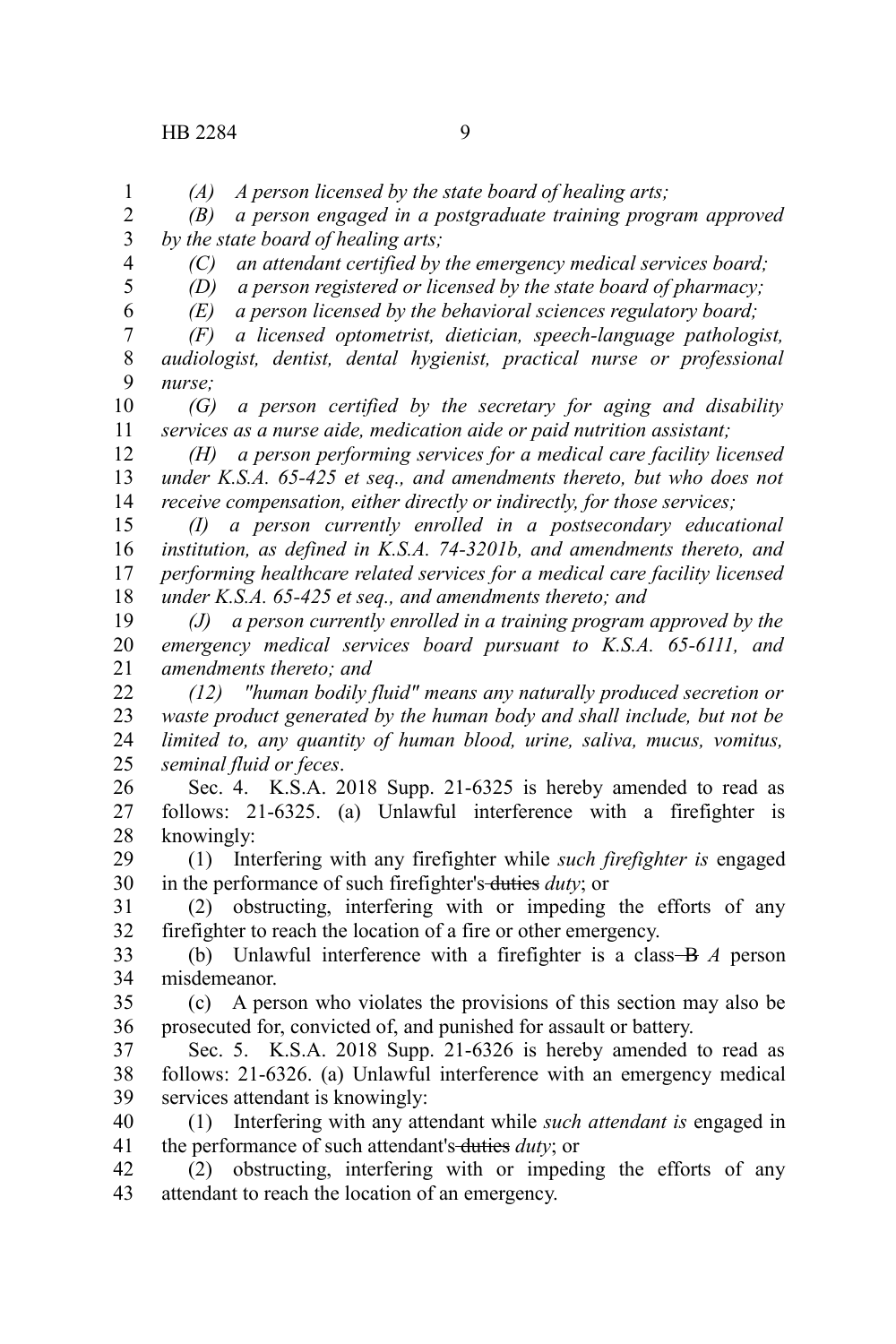*(A) A person licensed by the state board of healing arts;*

*(B) a person engaged in a postgraduate training program approved by the state board of healing arts;* 2 3

4 5 6

1

*(C) an attendant certified by the emergency medical services board;*

*(D) a person registered or licensed by the state board of pharmacy;*

*(E) a person licensed by the behavioral sciences regulatory board;*

*(F) a licensed optometrist, dietician, speech-language pathologist, audiologist, dentist, dental hygienist, practical nurse or professional nurse;* 7 8 9

*(G) a person certified by the secretary for aging and disability services as a nurse aide, medication aide or paid nutrition assistant;* 10 11

*(H) a person performing services for a medical care facility licensed under K.S.A. 65-425 et seq., and amendments thereto, but who does not receive compensation, either directly or indirectly, for those services;* 12 13 14

*(I) a person currently enrolled in a postsecondary educational institution, as defined in K.S.A. 74-3201b, and amendments thereto, and performing healthcare related services for a medical care facility licensed under K.S.A. 65-425 et seq., and amendments thereto; and* 15 16 17 18

*(J) a person currently enrolled in a training program approved by the emergency medical services board pursuant to K.S.A. 65-6111, and amendments thereto; and* 19 20 21

*(12) "human bodily fluid" means any naturally produced secretion or waste product generated by the human body and shall include, but not be limited to, any quantity of human blood, urine, saliva, mucus, vomitus, seminal fluid or feces*. 22 23 24 25

Sec. 4. K.S.A. 2018 Supp. 21-6325 is hereby amended to read as follows: 21-6325. (a) Unlawful interference with a firefighter is knowingly: 26 27 28

(1) Interfering with any firefighter while *such firefighter is* engaged in the performance of such firefighter's duties *duty*; or 29 30

(2) obstructing, interfering with or impeding the efforts of any firefighter to reach the location of a fire or other emergency. 31 32

(b) Unlawful interference with a firefighter is a class B *A* person misdemeanor. 33 34

(c) A person who violates the provisions of this section may also be prosecuted for, convicted of, and punished for assault or battery. 35 36

Sec. 5. K.S.A. 2018 Supp. 21-6326 is hereby amended to read as follows: 21-6326. (a) Unlawful interference with an emergency medical services attendant is knowingly: 37 38 39

(1) Interfering with any attendant while *such attendant is* engaged in the performance of such attendant's-duties *duty*; or 40 41

(2) obstructing, interfering with or impeding the efforts of any attendant to reach the location of an emergency. 42 43